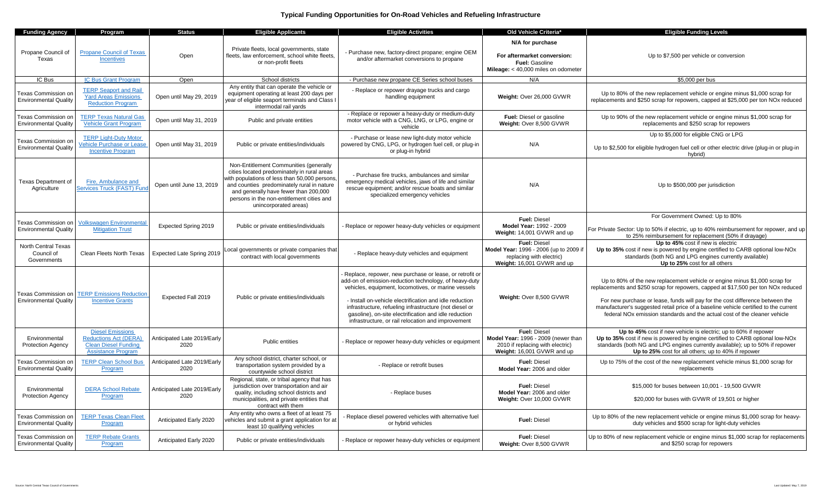## **Typical Funding Opportunities for On-Road Vehicles and Refueling Infrastructure**

| <b>Funding Agency</b>                                      | Program                                                                                                             | <b>Status</b>                       | <b>Eligible Applicants</b>                                                                                                                                                                                                                                                                          | <b>Eligible Activities</b>                                                                                                                                                                                                                                                                                                                                                                                    | Old Vehicle Criteria*                                                                                                        | <b>Eligible Funding Levels</b>                                                                                                                                                                                                                                                                                                                                                                                                    |
|------------------------------------------------------------|---------------------------------------------------------------------------------------------------------------------|-------------------------------------|-----------------------------------------------------------------------------------------------------------------------------------------------------------------------------------------------------------------------------------------------------------------------------------------------------|---------------------------------------------------------------------------------------------------------------------------------------------------------------------------------------------------------------------------------------------------------------------------------------------------------------------------------------------------------------------------------------------------------------|------------------------------------------------------------------------------------------------------------------------------|-----------------------------------------------------------------------------------------------------------------------------------------------------------------------------------------------------------------------------------------------------------------------------------------------------------------------------------------------------------------------------------------------------------------------------------|
| Propane Council of<br>Texas                                | <b>Propane Council of Texas</b><br><b>Incentives</b>                                                                | Open                                | Private fleets, local governments, state<br>fleets, law enforcement, school white fleets,<br>or non-profit fleets                                                                                                                                                                                   | - Purchase new, factory-direct propane; engine OEM<br>and/or aftermarket conversions to propane                                                                                                                                                                                                                                                                                                               | N/A for purchase<br>For aftermarket conversion:<br>Fuel: Gasoline<br>Mileage: < 40,000 miles on odometer                     | Up to \$7,500 per vehicle or conversion                                                                                                                                                                                                                                                                                                                                                                                           |
| IC Bus                                                     | IC Bus Grant Program                                                                                                | Open                                | School districts                                                                                                                                                                                                                                                                                    | - Purchase new propane CE Series school buses                                                                                                                                                                                                                                                                                                                                                                 | N/A                                                                                                                          | \$5,000 per bus                                                                                                                                                                                                                                                                                                                                                                                                                   |
| <b>Texas Commission on</b><br><b>Environmental Qualitv</b> | <b>TERP Seaport and Rail</b><br><b>Yard Areas Emissions</b><br><b>Reduction Program</b>                             | Open until May 29, 2019             | Any entity that can operate the vehicle or<br>equipment operating at least 200 days per<br>year of eligible seaport terminals and Class I<br>intermodal rail yards                                                                                                                                  | - Replace or repower drayage trucks and cargo<br>handling equipment                                                                                                                                                                                                                                                                                                                                           | Weight: Over 26,000 GVWR                                                                                                     | Up to 80% of the new replacement vehicle or engine minus \$1,000 scrap for<br>replacements and \$250 scrap for repowers, capped at \$25,000 per ton NOx reduced                                                                                                                                                                                                                                                                   |
| Texas Commission on<br><b>Environmental Quality</b>        | <b>TERP Texas Natural Gas</b><br><b>Vehicle Grant Program</b>                                                       | Open until May 31, 2019             | Public and private entities                                                                                                                                                                                                                                                                         | - Replace or repower a heavy-duty or medium-duty<br>motor vehicle with a CNG, LNG, or LPG, engine or<br>vehicle                                                                                                                                                                                                                                                                                               | Fuel: Diesel or gasoline<br>Weight: Over 8,500 GVWR                                                                          | Up to 90% of the new replacement vehicle or engine minus \$1,000 scrap for<br>replacements and \$250 scrap for repowers                                                                                                                                                                                                                                                                                                           |
|                                                            | <b>TERP</b> Light-Duty Motor                                                                                        |                                     |                                                                                                                                                                                                                                                                                                     | - Purchase or lease new light-duty motor vehicle                                                                                                                                                                                                                                                                                                                                                              |                                                                                                                              | Up to \$5,000 for eligible CNG or LPG                                                                                                                                                                                                                                                                                                                                                                                             |
| Fexas Commission on<br><b>Environmental Quality</b>        | ehicle Purchase or Lease<br><b>Incentive Program</b>                                                                | Open until May 31, 2019             | Public or private entities/individuals                                                                                                                                                                                                                                                              | powered by CNG, LPG, or hydrogen fuel cell, or plug-in<br>or plug-in hybrid                                                                                                                                                                                                                                                                                                                                   | N/A                                                                                                                          | Up to \$2,500 for eligible hydrogen fuel cell or other electric drive (plug-in or plug-in<br>hybrid)                                                                                                                                                                                                                                                                                                                              |
| <b>Texas Department of</b><br>Agriculture                  | Fire, Ambulance and<br><b>Services Truck (FAST) Fund</b>                                                            | Open until June 13, 2019            | Non-Entitlement Communities (generally<br>cities located predominately in rural areas<br>with populations of less than 50,000 persons.<br>and counties predominately rural in nature<br>and generally have fewer than 200,000<br>persons in the non-entitlement cities and<br>unincorporated areas) | - Purchase fire trucks, ambulances and similar<br>emergency medical vehicles, jaws of life and similar<br>rescue equipment; and/or rescue boats and similar<br>specialized emergency vehicles                                                                                                                                                                                                                 | N/A                                                                                                                          | Up to \$500,000 per jurisdiction                                                                                                                                                                                                                                                                                                                                                                                                  |
| Texas Commission on<br><b>Environmental Quality</b>        | <b>Volkswagen Environmental</b><br><b>Mitigation Trust</b>                                                          | Expected Spring 2019                | Public or private entities/individuals                                                                                                                                                                                                                                                              | - Replace or repower heavy-duty vehicles or equipment                                                                                                                                                                                                                                                                                                                                                         | <b>Fuel: Diesel</b><br>Model Year: 1992 - 2009<br>Weight: 14,001 GVWR and up                                                 | For Government Owned: Up to 80%<br>For Private Sector: Up to 50% if electric, up to 40% reimbursement for repower, and up<br>to 25% reimbursement for replacement (50% if drayage)                                                                                                                                                                                                                                                |
| <b>North Central Texas</b><br>Council of<br>Governments    | Clean Fleets North Texas                                                                                            | Expected Late Spring 2019           | Local governments or private companies that<br>contract with local governments                                                                                                                                                                                                                      | - Replace heavy-duty vehicles and equipment                                                                                                                                                                                                                                                                                                                                                                   | <b>Fuel: Diesel</b><br>Model Year: 1996 - 2006 (up to 2009 if<br>replacing with electric)<br>Weight: 16,001 GVWR and up      | Up to 45% cost if new is electric<br>Up to 35% cost if new is powered by engine certified to CARB optional low-NOx<br>standards (both NG and LPG engines currently available)<br>Up to 25% cost for all others                                                                                                                                                                                                                    |
| Texas Commission on<br><b>Environmental Quality</b>        | <b>TERP Emissions Reduction</b><br><b>Incentive Grants</b>                                                          | Expected Fall 2019                  | Public or private entities/individuals                                                                                                                                                                                                                                                              | Replace, repower, new purchase or lease, or retrofit or<br>add-on of emission-reduction technology, of heavy-duty<br>vehicles, equipment, locomotives, or marine vessels<br>- Install on-vehicle electrification and idle reduction<br>infrastructure, refueling infrastructure (not diesel or<br>gasoline), on-site electrification and idle reduction<br>infrastructure, or rail relocation and improvement | Weight: Over 8,500 GVWR                                                                                                      | Up to 80% of the new replacement vehicle or engine minus \$1,000 scrap for<br>replacements and \$250 scrap for repowers, capped at \$17,500 per ton NOx reduced<br>For new purchase or lease, funds will pay for the cost difference between the<br>manufacturer's suggested retail price of a baseline vehicle certified to the current<br>federal NO <sub>x</sub> emission standards and the actual cost of the cleaner vehicle |
| Environmental<br><b>Protection Agency</b>                  | <b>Diesel Emissions</b><br><b>Reductions Act (DERA)</b><br><b>Clean Diesel Funding</b><br><b>Assistance Program</b> | Anticipated Late 2019/Early<br>2020 | Public entities                                                                                                                                                                                                                                                                                     | - Replace or repower heavy-duty vehicles or equipment                                                                                                                                                                                                                                                                                                                                                         | <b>Fuel: Diesel</b><br>Model Year: 1996 - 2009 (newer than<br>2010 if replacing with electric)<br>Weight: 16,001 GVWR and up | Up to 45% cost if new vehicle is electric; up to 60% if repower<br>Up to 35% cost if new is powered by engine certified to CARB optional low-NOx<br>standards (both NG and LPG engines currently available); up to 50% if repower<br>Up to 25% cost for all others; up to 40% if repower                                                                                                                                          |
| Fexas Commission on<br><b>Environmental Quality</b>        | <b>TERP Clean School Bus</b><br>Program                                                                             | Anticipated Late 2019/Early<br>2020 | Any school district, charter school, or<br>transportation system provided by a<br>countywide school district                                                                                                                                                                                        | - Replace or retrofit buses                                                                                                                                                                                                                                                                                                                                                                                   | <b>Fuel: Diesel</b><br>Model Year: 2006 and older                                                                            | Up to 75% of the cost of the new replacement vehicle minus \$1,000 scrap for<br>replacements                                                                                                                                                                                                                                                                                                                                      |
| Environmental<br><b>Protection Agency</b>                  | <b>DERA School Rebate</b><br>Program                                                                                | Anticipated Late 2019/Early<br>2020 | Regional, state, or tribal agency that has<br>jurisdiction over transportation and air<br>quality, including school districts and<br>municipalities, and private entities that<br>contract with them                                                                                                | - Replace buses                                                                                                                                                                                                                                                                                                                                                                                               | Fuel: Diesel<br>Model Year: 2006 and older<br>Weight: Over 10,000 GVWR                                                       | \$15,000 for buses between 10,001 - 19,500 GVWR<br>\$20,000 for buses with GVWR of 19,501 or higher                                                                                                                                                                                                                                                                                                                               |
| <b>Fexas Commission on</b><br><b>Environmental Quality</b> | <b>TERP Texas Clean Fleet</b><br>Program                                                                            | Anticipated Early 2020              | Any entity who owns a fleet of at least 75<br>vehicles and submit a grant application for at<br>least 10 qualifying vehicles                                                                                                                                                                        | Replace diesel powered vehicles with alternative fuel<br>or hybrid vehicles                                                                                                                                                                                                                                                                                                                                   | Fuel: Diesel                                                                                                                 | Up to 80% of the new replacement vehicle or engine minus \$1,000 scrap for heavy-<br>duty vehicles and \$500 scrap for light-duty vehicles                                                                                                                                                                                                                                                                                        |
| Texas Commission on<br><b>Environmental Quality</b>        | <b>TERP Rebate Grants</b><br>Program                                                                                | Anticipated Early 2020              | Public or private entities/individuals                                                                                                                                                                                                                                                              | - Replace or repower heavy-duty vehicles or equipment                                                                                                                                                                                                                                                                                                                                                         | <b>Fuel: Diesel</b><br>Weight: Over 8,500 GVWR                                                                               | Up to 80% of new replacement vehicle or engine minus \$1,000 scrap for replacements<br>and \$250 scrap for repowers                                                                                                                                                                                                                                                                                                               |